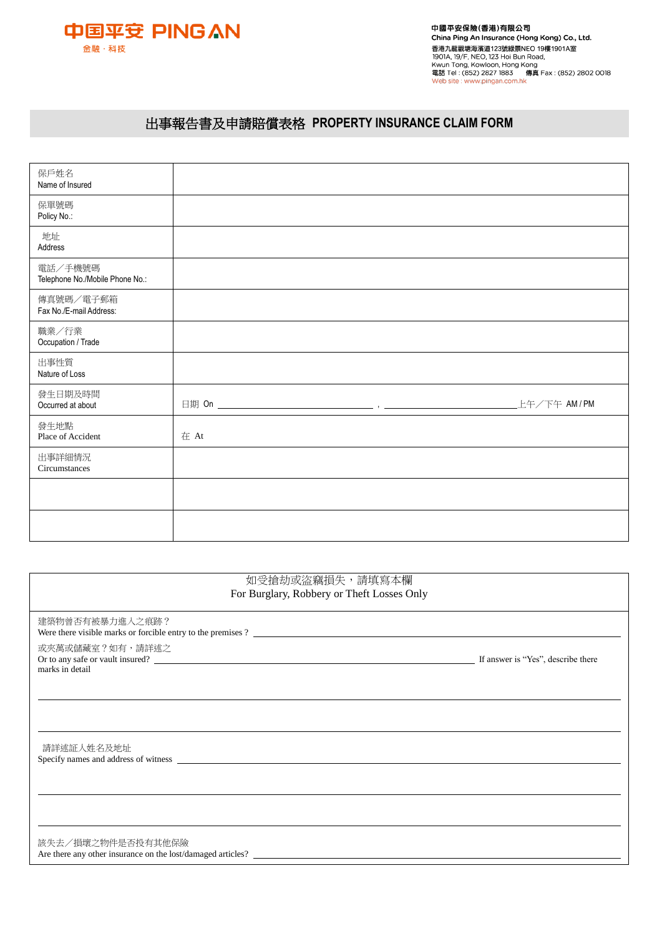

## 出事報告書及申請賠償表格 **PROPERTY INSURANCE CLAIM FORM**

| 保戶姓名                            |      |             |
|---------------------------------|------|-------------|
| Name of Insured                 |      |             |
| 保單號碼                            |      |             |
| Policy No.:                     |      |             |
|                                 |      |             |
| 地址                              |      |             |
| Address                         |      |             |
| 電話/手機號碼                         |      |             |
| Telephone No./Mobile Phone No.: |      |             |
|                                 |      |             |
| 傳真號碼/電子郵箱                       |      |             |
| Fax No./E-mail Address:         |      |             |
| 職業/行業                           |      |             |
| Occupation / Trade              |      |             |
|                                 |      |             |
| 出事性質                            |      |             |
| Nature of Loss                  |      |             |
| 發生日期及時間                         |      |             |
| Occurred at about               |      | 上午/下午 AM/PM |
|                                 |      |             |
| 發生地點<br>Place of Accident       | 在 At |             |
|                                 |      |             |
| 出事詳細情況                          |      |             |
| Circumstances                   |      |             |
|                                 |      |             |
|                                 |      |             |
|                                 |      |             |
|                                 |      |             |
|                                 |      |             |

| 如受搶劫或盜竊損失,請填寫本欄<br>For Burglary, Robbery or Theft Losses Only                            |  |
|------------------------------------------------------------------------------------------|--|
| 建築物曾否有被暴力進入之痕跡?<br>Were there visible marks or forcible entry to the premises $?$ $\Box$ |  |
| 或夾萬或儲藏室?如有,請詳述之<br>marks in detail                                                       |  |
|                                                                                          |  |
| 請詳述証人姓名及地址                                                                               |  |
|                                                                                          |  |
| 該失去/損壞之物件是否投有其他保險<br>Are there any other insurance on the lost/damaged articles?         |  |